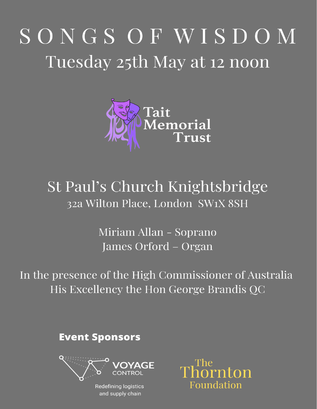# SONGS OF WISDOM Tuesday 25th May at 12 noon



## St Paul's Church Knightsbridge 32a Wilton Place, London SW1X 8SH

Miriam Allan - Soprano James Orford – Organ

In the presence of the High Commissioner of Australia His Excellency the Hon George Brandis QC

**Event Sponsors** 



**Redefining logistics** and supply chain

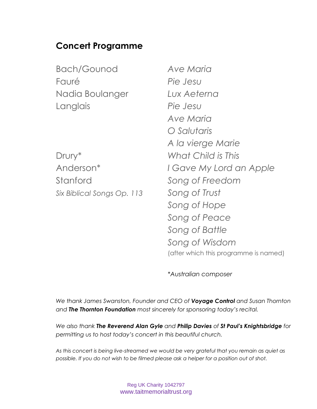## **Concert Programme**

| <b>Bach/Gounod</b>         | Ave Maria                             |
|----------------------------|---------------------------------------|
| Fauré                      | Pie Jesu                              |
| Nadia Boulanger            | Lux Aeterna                           |
| Langlais                   | Pie Jesu                              |
|                            | Ave Maria                             |
|                            | O Salutaris                           |
|                            | A la vierge Marie                     |
| Drury*                     | What Child is This                    |
| Anderson <sup>*</sup>      | I Gave My Lord an Apple               |
| Stanford                   | Song of Freedom                       |
| Six Biblical Songs Op. 113 | Song of Trust                         |
|                            | Song of Hope                          |
|                            | Song of Peace                         |
|                            | Song of Battle                        |
|                            | Song of Wisdom                        |
|                            | (after which this programme is named) |

*\*Australian composer*

*We thank James Swanston, Founder and CEO of Voyage Control and Susan Thornton and The Thornton Foundation most sincerely for sponsoring today's recital.*

*We also thank The Reverend Alan Gyle and Philip Davies of St Paul's Knightsbridge for permitting us to host today's concert in this beautiful church.*

*As this concert is being live-streamed we would be very grateful that you remain as quiet as possible. If you do not wish to be filmed please ask a helper for a position out of shot.*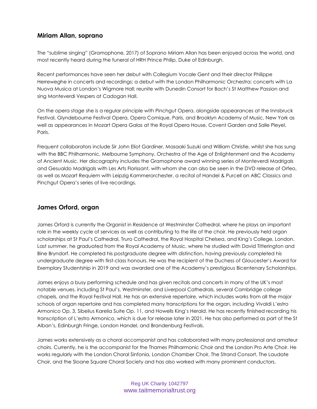### **Miriam Allan, soprano**

The "sublime singing" (Gramophone, 2017) of Soprano Miriam Allan has been enjoyed across the world, and most recently heard during the funeral of HRH Prince Philip, Duke of Edinburgh.

Recent performances have seen her debut with Collegium Vocale Gent and their director Philippe Herreweghe in concerts and recordings; a debut with the London Philharmonic Orchestra; concerts with La Nuova Musica at London's Wigmore Hall; reunite with Dunedin Consort for Bach's St Matthew Passion and sing Monteverdi Vespers at Cadogan Hall.

On the opera stage she is a regular principle with Pinchgut Opera, alongside appearances at the Innsbruck Festival, Glyndebourne Festival Opera, Opera Comique, Paris, and Brooklyn Academy of Music, New York as well as appearances in Mozart Opera Galas at the Royal Opera House, Covent Garden and Salle Pleyel, Paris.

Frequent collaborators include Sir John Eliot Gardiner, Masaaki Suzuki and William Christie, whilst she has sung with the BBC Philharmonic, Melbourne Symphony, Orchestra of the Age of Enlightenment and the Academy of Ancient Music. Her discography includes the Gramophone award winning series of Monteverdi Madrigals and Gesualdo Madrigals with Les Arts Florissant, with whom she can also be seen in the DVD release of Orfeo, as well as Mozart Requiem with Leipzig Kammerorchester, a recital of Handel & Purcell on ABC Classics and Pinchgut Opera's series of live recordings.

## **James Orford, organ**

James Orford is currently the Organist in Residence at Westminster Cathedral, where he plays an important role in the weekly cycle of services as well as contributing to the life of the choir. He previously held organ scholarships at St Paul's Cathedral, Truro Cathedral, the Royal Hospital Chelsea, and King's College, London. Last summer, he graduated from the Royal Academy of Music, where he studied with David Titterington and Bine Bryndorf. He completed his postgraduate degree with distinction, having previously completed his undergraduate degree with first-class honours. He was the recipient of the Duchess of Gloucester's Award for Exemplary Studentship in 2019 and was awarded one of the Academy's prestigious Bicentenary Scholarships.

James enjoys a busy performing schedule and has given recitals and concerts in many of the UK's most notable venues, including St Paul's, Westminster, and Liverpool Cathedrals, several Cambridge college chapels, and the Royal Festival Hall. He has an extensive repertoire, which includes works from all the major schools of organ repertoire and has completed many transcriptions for the organ, including Vivaldi L'estro Armonico Op. 3, Sibelius Karelia Suite Op. 11, and Howells King's Herald. He has recently finished recording his transcription of L'estro Armonico, which is due for release later in 2021. He has also performed as part of the St Alban's, Edinburgh Fringe, London Handel, and Brandenburg Festivals.

James works extensively as a choral accompanist and has collaborated with many professional and amateur choirs. Currently, he is the accompanist for the Thames Philharmonic Choir and the London Pro Arte Choir. He works regularly with the London Choral Sinfonia, London Chamber Choir, The Strand Consort, The Laudate Choir, and the Sloane Square Choral Society and has also worked with many prominent conductors,

> Reg UK Charity 1042797 www.taitmemorialtrust.org